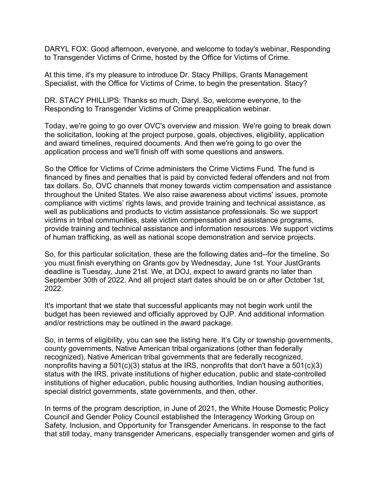DARYL FOX: Good afternoon, everyone, and welcome to today's webinar, Responding to Transgender Victims of Crime, hosted by the Office for Victims of Crime.

At this time, it's my pleasure to introduce Dr. Stacy Phillips, Grants Management Specialist, with the Office for Victims of Crime, to begin the presentation. Stacy?

DR. STACY PHILLIPS: Thanks so much, Daryl. So, welcome everyone, to the Responding to Transgender Victims of Crime preapplication webinar.

Today, we're going to go over OVC's overview and mission. We're going to break down the solicitation, looking at the project purpose, goals, objectives, eligibility, application and award timelines, required documents. And then we're going to go over the application process and we'll finish off with some questions and answers.

So the Office for Victims of Crime administers the Crime Victims Fund. The fund is financed by fines and penalties that is paid by convicted federal offenders and not from tax dollars. So, OVC channels that money towards victim compensation and assistance throughout the United States. We also raise awareness about victims' issues, promote compliance with victims' rights laws, and provide training and technical assistance, as well as publications and products to victim assistance professionals. So we support victims in tribal communities, state victim compensation and assistance programs, provide training and technical assistance and information resources. We support victims of human trafficking, as well as national scope demonstration and service projects.

So, for this particular solicitation, these are the following dates and--for the timeline. So you must finish everything on Grants.gov by Wednesday, June 1st. Your JustGrants deadline is Tuesday, June 21st. We, at DOJ, expect to award grants no later than September 30th of 2022. And all project start dates should be on or after October 1st, 2022.

It's important that we state that successful applicants may not begin work until the budget has been reviewed and officially approved by OJP. And additional information and/or restrictions may be outlined in the award package.

So, in terms of eligibility, you can see the listing here. It's City or township governments, county governments, Native American tribal organizations (other than federally recognized), Native American tribal governments that are federally recognized, nonprofits having a 501(c)(3) status at the IRS, nonprofits that don't have a 501(c)(3) status with the IRS, private institutions of higher education, public and state-controlled institutions of higher education, public housing authorities, Indian housing authorities, special district governments, state governments, and then, other.

In terms of the program description, in June of 2021, the White House Domestic Policy Council and Gender Policy Council established the Interagency Working Group on Safety, Inclusion, and Opportunity for Transgender Americans. In response to the fact that still today, many transgender Americans, especially transgender women and girls of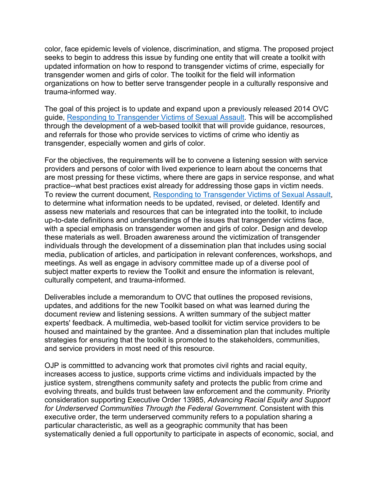color, face epidemic levels of violence, discrimination, and stigma. The proposed project seeks to begin to address this issue by funding one entity that will create a toolkit with updated information on how to respond to transgender victims of crime, especially for transgender women and girls of color. The toolkit for the field will information organizations on how to better serve transgender people in a culturally responsive and trauma-informed way.

The goal of this project is to update and expand upon a previously released 2014 OVC guide, [Responding to Transgender Victims of Sexual Assault.](https://ovc.ojp.gov/sites/g/files/xyckuh226/files/pubs/forge/index.html) This will be accomplished through the development of a web-based toolkit that will provide guidance, resources, and referrals for those who provide services to victims of crime who identiy as transgender, especially women and girls of color.

For the objectives, the requirements will be to convene a listening session with service providers and persons of color with lived experience to learn about the concerns that are most pressing for these victims, where there are gaps in service response, and what practice--what best practices exist already for addressing those gaps in victim needs. To review the current document, [Responding to Transgender Victims of Sexual Assault,](https://ovc.ojp.gov/sites/g/files/xyckuh226/files/pubs/forge/index.html) to determine what information needs to be updated, revised, or deleted. Identify and assess new materials and resources that can be integrated into the toolkit, to include up-to-date definitions and understandings of the issues that transgender victims face, with a special emphasis on transgender women and girls of color. Design and develop these materials as well. Broaden awareness around the victimization of transgender individuals through the development of a dissemination plan that includes using social media, publication of articles, and participation in relevant conferences, workshops, and meetings. As well as engage in advisory committee made up of a diverse pool of subject matter experts to review the Toolkit and ensure the information is relevant, culturally competent, and trauma-informed.

Deliverables include a memorandum to OVC that outlines the proposed revisions, updates, and additions for the new Toolkit based on what was learned during the document review and listening sessions. A written summary of the subject matter experts' feedback. A multimedia, web-based toolkit for victim service providers to be housed and maintained by the grantee. And a dissemination plan that includes multiple strategies for ensuring that the toolkit is promoted to the stakeholders, communities, and service providers in most need of this resource.

OJP is committted to advancing work that promotes civil rights and racial equity, increases access to justice, supports crime victims and individuals impacted by the justice system, strengthens community safety and protects the public from crime and evolving threats, and builds trust between law enforcement and the community. Priority consideration supporting Executive Order 13985, *Advancing Racial Equity and Support for Underserved Communities Through the Federal Government*. Consistent with this executive order, the term underserved community refers to a population sharing a particular characteristic, as well as a geographic community that has been systematically denied a full opportunity to participate in aspects of economic, social, and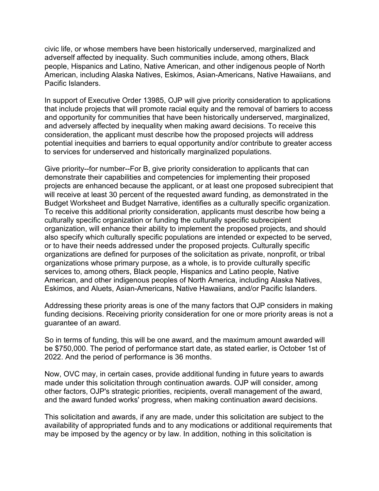civic life, or whose members have been historically underserved, marginalized and adverself affected by inequality. Such communities include, among others, Black people, Hispanics and Latino, Native American, and other indigenous people of North American, including Alaska Natives, Eskimos, Asian-Americans, Native Hawaiians, and Pacific Islanders.

In support of Executive Order 13985, OJP will give priority consideration to applications that include projects that will promote racial equity and the removal of barriers to access and opportunity for communities that have been historically underserved, marginalized, and adversely affected by inequality when making award decisions. To receive this consideration, the applicant must describe how the proposed projects will address potential inequities and barriers to equal opportunity and/or contribute to greater access to services for underserved and historically marginalized populations.

Give priority--for number--For B, give priority consideration to applicants that can demonstrate their capabilities and competencies for implementing their proposed projects are enhanced because the applicant, or at least one proposed subrecipient that will receive at least 30 percent of the requested award funding, as demonstrated in the Budget Worksheet and Budget Narrative, identifies as a culturally specific organization. To receive this additional priority consideration, applicants must describe how being a culturally specific organization or funding the culturally specific subrecipient organization, will enhance their ability to implement the proposed projects, and should also specify which culturally specific populations are intended or expected to be served, or to have their needs addressed under the proposed projects. Culturally specific organizations are defined for purposes of the solicitation as private, nonprofit, or tribal organizations whose primary purpose, as a whole, is to provide culturally specific services to, among others, Black people, Hispanics and Latino people, Native American, and other indigenous peoples of North America, including Alaska Natives, Eskimos, and Aluets, Asian-Americans, Native Hawaiians, and/or Pacific Islanders.

Addressing these priority areas is one of the many factors that OJP considers in making funding decisions. Receiving priority consideration for one or more priority areas is not a guarantee of an award.

So in terms of funding, this will be one award, and the maximum amount awarded will be \$750,000. The period of performance start date, as stated earlier, is October 1st of 2022. And the period of performance is 36 months.

Now, OVC may, in certain cases, provide additional funding in future years to awards made under this solicitation through continuation awards. OJP will consider, among other factors, OJP's strategic priorities, recipients, overall management of the award, and the award funded works' progress, when making continuation award decisions.

This solicitation and awards, if any are made, under this solicitation are subject to the availability of appropriated funds and to any modications or additional requirements that may be imposed by the agency or by law. In addition, nothing in this solicitation is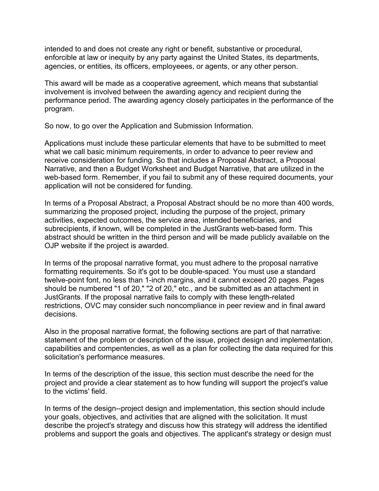intended to and does not create any right or benefit, substantive or procedural, enforcible at law or inequity by any party against the United States, its departments, agencies, or entities, its officers, employeees, or agents, or any other person.

This award will be made as a cooperative agreement, which means that substantial involvement is involved between the awarding agency and recipient during the performance period. The awarding agency closely participates in the performance of the program.

So now, to go over the Application and Submission Information.

Applications must include these particular elements that have to be submitted to meet what we call basic minimum requirements, in order to advance to peer review and receive consideration for funding. So that includes a Proposal Abstract, a Proposal Narrative, and then a Budget Worksheet and Budget Narrative, that are utilized in the web-based form. Remember, if you fail to submit any of these required documents, your application will not be considered for funding.

In terms of a Proposal Abstract, a Proposal Abstract should be no more than 400 words, summarizing the proposed project, including the purpose of the project, primary activities, expected outcomes, the service area, intended beneficiaries, and subrecipients, if known, will be completed in the JustGrants web-based form. This abstract should be written in the third person and will be made publicly available on the OJP website if the project is awarded.

In terms of the proposal narrative format, you must adhere to the proposal narrative formatting requirements. So it's got to be double-spaced. You must use a standard twelve-point font, no less than 1-inch margins, and it cannot exceed 20 pages. Pages should be numbered "1 of 20," "2 of 20," etc., and be submitted as an attachment in JustGrants. If the proposal narrative fails to comply with these length-related restrictions, OVC may consider such noncompliance in peer review and in final award decisions.

Also in the proposal narrative format, the following sections are part of that narrative: statement of the problem or description of the issue, project design and implementation, capabilities and compentencies, as well as a plan for collecting the data required for this solicitation's performance measures.

In terms of the description of the issue, this section must describe the need for the project and provide a clear statement as to how funding will support the project's value to the victims' field.

In terms of the design--project design and implementation, this section should include your goals, objectives, and activities that are aligned with the solicitation. It must describe the project's strategy and discuss how this strategy will address the identified problems and support the goals and objectives. The applicant's strategy or design must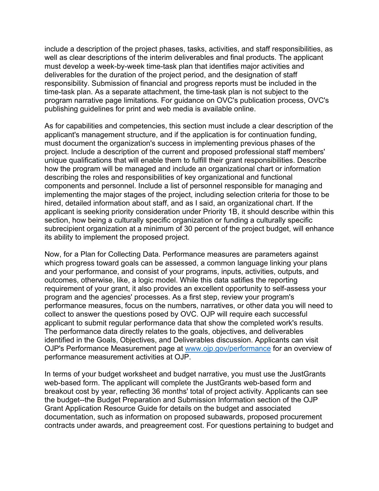include a description of the project phases, tasks, activities, and staff responsibilities, as well as clear descriptions of the interim deliverables and final products. The applicant must develop a week-by-week time-task plan that identifies major activities and deliverables for the duration of the project period, and the designation of staff responsibility. Submission of financial and progress reports must be included in the time-task plan. As a separate attachment, the time-task plan is not subject to the program narrative page limitations. For guidance on OVC's publication process, OVC's publishing guidelines for print and web media is available online.

As for capabilities and competencies, this section must include a clear description of the applicant's management structure, and if the application is for continuation funding, must document the organization's success in implementing previous phases of the project. Include a description of the current and proposed professional staff members' unique qualifications that will enable them to fulfill their grant responsibilities. Describe how the program will be managed and include an organizational chart or information describing the roles and responsibilities of key organizational and functional components and personnel. Include a list of personnel responsible for managing and implementing the major stages of the project, including selection criteria for those to be hired, detailed information about staff, and as I said, an organizational chart. If the applicant is seeking priority consideration under Priority 1B, it should describe within this section, how being a culturally specific organization or funding a culturally specific subrecipient organization at a minimum of 30 percent of the project budget, will enhance its ability to implement the proposed project.

Now, for a Plan for Collecting Data. Performance measures are parameters against which progress toward goals can be assessed, a common language linking your plans and your performance, and consist of your programs, inputs, activities, outputs, and outcomes, otherwise, like, a logic model. While this data satifies the reporting requirement of your grant, it also provides an excellent opportunity to self-assess your program and the agencies' processes. As a first step, review your program's performance measures, focus on the numbers, narratives, or other data you will need to collect to answer the questions posed by OVC. OJP will require each successful applicant to submit regular performance data that show the completed work's results. The performance data directly relates to the goals, objectives, and deliverables identified in the Goals, Objectives, and Deliverables discussion. Applicants can visit OJP's Performance Measurement page at [www.ojp.gov/performance](http://www.ojp.gov/performance) for an overview of performance measurement activities at OJP.

In terms of your budget worksheet and budget narrative, you must use the JustGrants web-based form. The applicant will complete the JustGrants web-based form and breakout cost by year, reflecting 36 months' total of project activity. Applicants can see the budget--the Budget Preparation and Submission Information section of the OJP Grant Application Resource Guide for details on the budget and associated documentation, such as information on proposed subawards, proposed procurement contracts under awards, and preagreement cost. For questions pertaining to budget and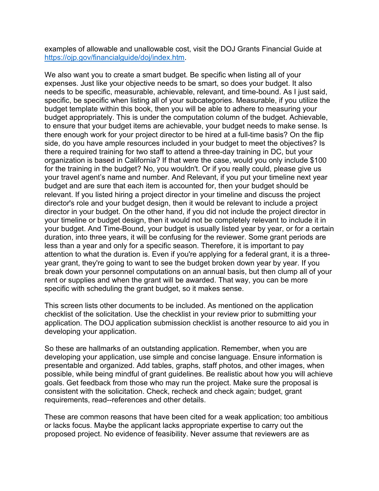examples of allowable and unallowable cost, visit the DOJ Grants Financial Guide at [https://ojp.gov/financialguide/doj/index.htm.](https://www.ojp.gov/funding/financialguidedoj/overview)

We also want you to create a smart budget. Be specific when listing all of your expenses. Just like your objective needs to be smart, so does your budget. It also needs to be specific, measurable, achievable, relevant, and time-bound. As I just said, specific, be specific when listing all of your subcategories. Measurable, if you utilize the budget template within this book, then you will be able to adhere to measuring your budget appropriately. This is under the computation column of the budget. Achievable, to ensure that your budget items are achievable, your budget needs to make sense. Is there enough work for your project director to be hired at a full-time basis? On the flip side, do you have ample resources included in your budget to meet the objectives? Is there a required training for two staff to attend a three-day training in DC, but your organization is based in California? If that were the case, would you only include \$100 for the training in the budget? No, you wouldn't. Or if you really could, please give us your travel agent's name and number. And Relevant, if you put your timeline next year budget and are sure that each item is accounted for, then your budget should be relevant. If you listed hiring a project director in your timeline and discuss the project director's role and your budget design, then it would be relevant to include a project director in your budget. On the other hand, if you did not include the project director in your timeline or budget design, then it would not be completely relevant to include it in your budget. And Time-Bound, your budget is usually listed year by year, or for a certain duration, into three years, it will be confusing for the reviewer. Some grant periods are less than a year and only for a specific season. Therefore, it is important to pay attention to what the duration is. Even if you're applying for a federal grant, it is a threeyear grant, they're going to want to see the budget broken down year by year. If you break down your personnel computations on an annual basis, but then clump all of your rent or supplies and when the grant will be awarded. That way, you can be more specific with scheduling the grant budget, so it makes sense.

This screen lists other documents to be included. As mentioned on the application checklist of the solicitation. Use the checklist in your review prior to submitting your application. The DOJ application submission checklist is another resource to aid you in developing your application.

So these are hallmarks of an outstanding application. Remember, when you are developing your application, use simple and concise language. Ensure information is presentable and organized. Add tables, graphs, staff photos, and other images, when possible, while being mindful of grant guidelines. Be realistic about how you will achieve goals. Get feedback from those who may run the project. Make sure the proposal is consistent with the solicitation. Check, recheck and check again; budget, grant requirements, read--references and other details.

These are common reasons that have been cited for a weak application; too ambitious or lacks focus. Maybe the applicant lacks appropriate expertise to carry out the proposed project. No evidence of feasibility. Never assume that reviewers are as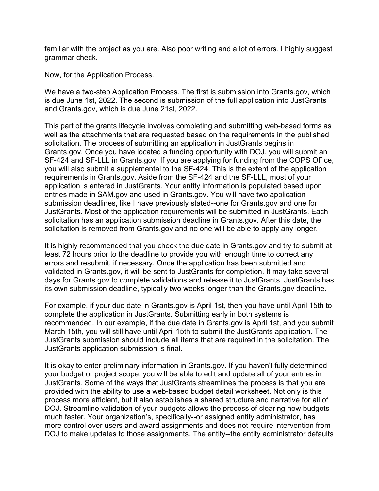familiar with the project as you are. Also poor writing and a lot of errors. I highly suggest grammar check.

Now, for the Application Process.

We have a two-step Application Process. The first is submission into Grants.gov, which is due June 1st, 2022. The second is submission of the full application into JustGrants and Grants.gov, which is due June 21st, 2022.

This part of the grants lifecycle involves completing and submitting web-based forms as well as the attachments that are requested based on the requirements in the published solicitation. The process of submitting an application in JustGrants begins in Grants.gov. Once you have located a funding opportunity with DOJ, you will submit an SF-424 and SF-LLL in Grants.gov. If you are applying for funding from the COPS Office, you will also submit a supplemental to the SF-424. This is the extent of the application requirements in Grants.gov. Aside from the SF-424 and the SF-LLL, most of your application is entered in JustGrants. Your entity information is populated based upon entries made in SAM.gov and used in Grants.gov. You will have two application submission deadlines, like I have previously stated--one for Grants.gov and one for JustGrants. Most of the application requirements will be submitted in JustGrants. Each solicitation has an application submission deadline in Grants.gov. After this date, the solicitation is removed from Grants.gov and no one will be able to apply any longer.

It is highly recommended that you check the due date in Grants.gov and try to submit at least 72 hours prior to the deadline to provide you with enough time to correct any errors and resubmit, if necessary. Once the application has been submitted and validated in Grants.gov, it will be sent to JustGrants for completion. It may take several days for Grants.gov to complete validations and release it to JustGrants. JustGrants has its own submission deadline, typically two weeks longer than the Grants.gov deadline.

For example, if your due date in Grants.gov is April 1st, then you have until April 15th to complete the application in JustGrants. Submitting early in both systems is recommended. In our example, if the due date in Grants.gov is April 1st, and you submit March 15th, you will still have until April 15th to submit the JustGrants application. The JustGrants submission should include all items that are required in the solicitation. The JustGrants application submission is final.

It is okay to enter preliminary information in Grants.gov. If you haven't fully determined your budget or project scope, you will be able to edit and update all of your entries in JustGrants. Some of the ways that JustGrants streamlines the process is that you are provided with the ability to use a web-based budget detail worksheet. Not only is this process more efficient, but it also establishes a shared structure and narrative for all of DOJ. Streamline validation of your budgets allows the process of clearing new budgets much faster. Your organization's, specifically--or assigned entity administrator, has more control over users and award assignments and does not require intervention from DOJ to make updates to those assignments. The entity--the entity administrator defaults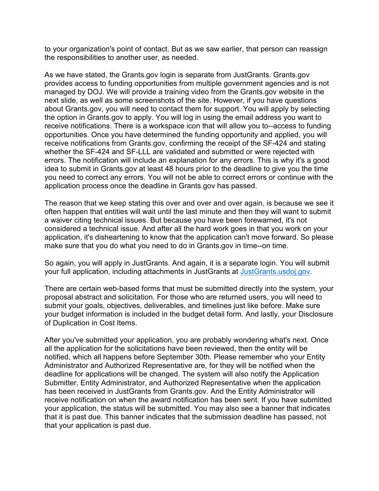to your organization's point of contact. But as we saw earlier, that person can reassign the responsibilities to another user, as needed.

As we have stated, the Grants.gov login is separate from JustGrants. Grants.gov provides access to funding opportunities from multiple government agencies and is not managed by DOJ. We will provide a training video from the Grants.gov website in the next slide, as well as some screenshots of the site. However, if you have questions about Grants.gov, you will need to contact them for support. You will apply by selecting the option in Grants.gov to apply. You will log in using the email address you want to receive notifications. There is a workspace icon that will allow you to--access to funding opportunities. Once you have determined the funding opportunity and applied, you will receive notifications from Grants.gov, confirming the receipt of the SF-424 and stating whether the SF-424 and SF-LLL are validated and submitted or were rejected with errors. The notification will include an explanation for any errors. This is why it's a good idea to submit in Grants.gov at least 48 hours prior to the deadline to give you the time you need to correct any errors. You will not be able to correct errors or continue with the application process once the deadline in Grants.gov has passed.

The reason that we keep stating this over and over and over again, is because we see it often happen that entities will wait until the last minute and then they will want to submit a waiver citing technical issues. But because you have been forewarned, it's not considered a technical issue. And after all the hard work goes in that you work on your application, it's disheartening to know that the application can't move forward. So please make sure that you do what you need to do in Grants.gov in time--on time.

So again, you will apply in JustGrants. And again, it is a separate login. You will submit your full application, including attachments in JustGrants at [JustGrants.usdoj.gov.](https://justgrants.usdoj.gov/)

There are certain web-based forms that must be submitted directly into the system, your proposal abstract and solicitation. For those who are returned users, you will need to submit your goals, objectives, deliverables, and timelines just like before. Make sure your budget information is included in the budget detail form. And lastly, your Disclosure of Duplication in Cost Items.

After you've submitted your application, you are probably wondering what's next. Once all the application for the solicitations have been reviewed, then the entity will be notified, which all happens before September 30th. Please remember who your Entity Administrator and Authorized Representative are, for they will be notified when the deadline for applications will be changed. The system will also notify the Application Submitter, Entity Administrator, and Authorized Representative when the application has been received in JustGrants from Grants.gov. And the Entity Administrator will receive notification on when the award notification has been sent. If you have submitted your application, the status will be submitted. You may also see a banner that indicates that it is past due. This banner indicates that the submission deadline has passed, not that your application is past due.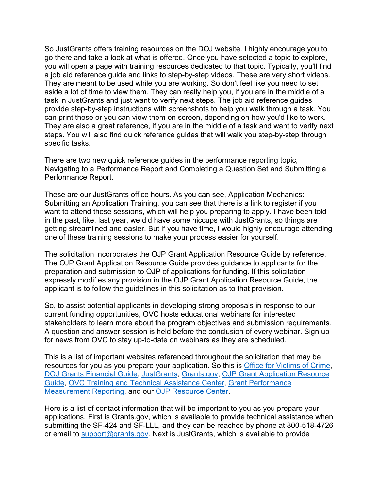So JustGrants offers training resources on the DOJ website. I highly encourage you to go there and take a look at what is offered. Once you have selected a topic to explore, you will open a page with training resources dedicated to that topic. Typically, you'll find a job aid reference guide and links to step-by-step videos. These are very short videos. They are meant to be used while you are working. So don't feel like you need to set aside a lot of time to view them. They can really help you, if you are in the middle of a task in JustGrants and just want to verify next steps. The job aid reference guides provide step-by-step instructions with screenshots to help you walk through a task. You can print these or you can view them on screen, depending on how you'd like to work. They are also a great reference, if you are in the middle of a task and want to verify next steps. You will also find quick reference guides that will walk you step-by-step through specific tasks.

There are two new quick reference guides in the performance reporting topic, Navigating to a Performance Report and Completing a Question Set and Submitting a Performance Report.

These are our JustGrants office hours. As you can see, Application Mechanics: Submitting an Application Training, you can see that there is a link to register if you want to attend these sessions, which will help you preparing to apply. I have been told in the past, like, last year, we did have some hiccups with JustGrants, so things are getting streamlined and easier. But if you have time, I would highly encourage attending one of these training sessions to make your process easier for yourself.

The solicitation incorporates the OJP Grant Application Resource Guide by reference. The OJP Grant Application Resource Guide provides guidance to applicants for the preparation and submission to OJP of applications for funding. If this solicitation expressly modifies any provision in the OJP Grant Application Resource Guide, the applicant is to follow the guidelines in this solicitation as to that provision.

So, to assist potential applicants in developing strong proposals in response to our current funding opportunities, OVC hosts educational webinars for interested stakeholders to learn more about the program objectives and submission requirements. A question and answer session is held before the conclusion of every webinar. Sign up for news from OVC to stay up-to-date on webinars as they are scheduled.

This is a list of important websites referenced throughout the solicitation that may be resources for you as you prepare your application. So this is [Office for Victims of Crime,](https://ovc.ojp.gov/) [DOJ Grants Financial Guide,](https://www.ojp.gov/funding/financialguidedoj/overview) [JustGrants,](https://justgrants.usdoj.gov/) [Grants.gov,](https://www.grants.gov/) [OJP Grant Application Resource](https://www.ojp.gov/funding/apply/ojp-grant-application-resource-guide)  [Guide,](https://www.ojp.gov/funding/apply/ojp-grant-application-resource-guide) [OVC Training and Technical Assistance Center,](http://www.ovcttac.gov/) [Grant Performance](https://ojp.gov/performance)  [Measurement Reporting,](https://ojp.gov/performance) and our [OJP Resource Center.](https://ojp.gov/ncjrs/new-ojp-resources)

Here is a list of contact information that will be important to you as you prepare your applications. First is Grants.gov, which is available to provide technical assistance when submitting the SF-424 and SF-LLL, and they can be reached by phone at 800-518-4726 or email to [support@grants.gov.](mailto:support@grants.gov) Next is JustGrants, which is available to provide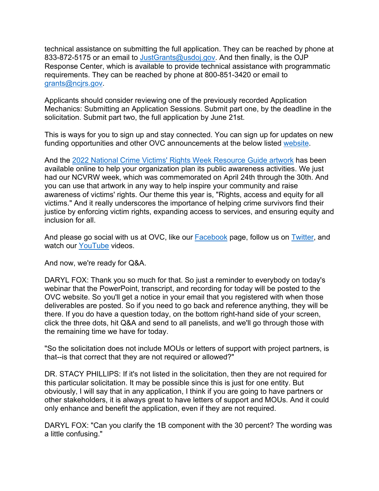technical assistance on submitting the full application. They can be reached by phone at 833-872-5175 or an email to [JustGrants@usdoj.gov.](mailto:JustGrants@usdoj.gov) And then finally, is the OJP Response Center, which is available to provide technical assistance with programmatic requirements. They can be reached by phone at 800-851-3420 or email to [grants@ncjrs.gov.](mailto:grants@ncjrs.gov)

Applicants should consider reviewing one of the previously recorded Application Mechanics: Submitting an Application Sessions. Submit part one, by the deadline in the solicitation. Submit part two, the full application by June 21st.

This is ways for you to sign up and stay connected. You can sign up for updates on new funding opportunities and other OVC announcements at the below listed [website.](https://puborder.ncjrs.gov/Listservs/subscribe_newsfromovc.asp)

And the [2022 National Crime Victims' Rights Week Resource Guide artwork](https://ovc.ojp.gov/ncvrw2022/ncvrw-artwork) has been available online to help your organization plan its public awareness activities. We just had our NCVRW week, which was commemorated on April 24th through the 30th. And you can use that artwork in any way to help inspire your community and raise awareness of victims' rights. Our theme this year is, "Rights, access and equity for all victims." And it really underscores the importance of helping crime survivors find their justice by enforcing victim rights, expanding access to services, and ensuring equity and inclusion for all.

And please go social with us at OVC, like our **Facebook** page, follow us on **Twitter**, and watch our [YouTube](https://www.youtube.com/user/OJPOVC) videos.

And now, we're ready for Q&A.

DARYL FOX: Thank you so much for that. So just a reminder to everybody on today's webinar that the PowerPoint, transcript, and recording for today will be posted to the OVC website. So you'll get a notice in your email that you registered with when those deliverables are posted. So if you need to go back and reference anything, they will be there. If you do have a question today, on the bottom right-hand side of your screen, click the three dots, hit Q&A and send to all panelists, and we'll go through those with the remaining time we have for today.

"So the solicitation does not include MOUs or letters of support with project partners, is that--is that correct that they are not required or allowed?"

DR. STACY PHILLIPS: If it's not listed in the solicitation, then they are not required for this particular solicitation. It may be possible since this is just for one entity. But obviously, I will say that in any application, I think if you are going to have partners or other stakeholders, it is always great to have letters of support and MOUs. And it could only enhance and benefit the application, even if they are not required.

DARYL FOX: "Can you clarify the 1B component with the 30 percent? The wording was a little confusing."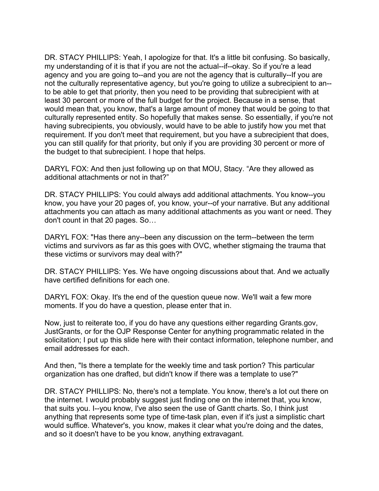DR. STACY PHILLIPS: Yeah, I apologize for that. It's a little bit confusing. So basically, my understanding of it is that if you are not the actual--if--okay. So if you're a lead agency and you are going to--and you are not the agency that is culturally--If you are not the culturally representative agency, but you're going to utilize a subrecipient to an- to be able to get that priority, then you need to be providing that subrecipient with at least 30 percent or more of the full budget for the project. Because in a sense, that would mean that, you know, that's a large amount of money that would be going to that culturally represented entity. So hopefully that makes sense. So essentially, if you're not having subrecipients, you obviously, would have to be able to justify how you met that requirement. If you don't meet that requirement, but you have a subrecipient that does, you can still qualify for that priority, but only if you are providing 30 percent or more of the budget to that subrecipient. I hope that helps.

DARYL FOX: And then just following up on that MOU, Stacy. "Are they allowed as additional attachments or not in that?"

DR. STACY PHILLIPS: You could always add additional attachments. You know--you know, you have your 20 pages of, you know, your--of your narrative. But any additional attachments you can attach as many additional attachments as you want or need. They don't count in that 20 pages. So…

DARYL FOX: "Has there any--been any discussion on the term--between the term victims and survivors as far as this goes with OVC, whether stigmaing the trauma that these victims or survivors may deal with?"

DR. STACY PHILLIPS: Yes. We have ongoing discussions about that. And we actually have certified definitions for each one.

DARYL FOX: Okay. It's the end of the question queue now. We'll wait a few more moments. If you do have a question, please enter that in.

Now, just to reiterate too, if you do have any questions either regarding Grants.gov, JustGrants, or for the OJP Response Center for anything programmatic related in the solicitation; I put up this slide here with their contact information, telephone number, and email addresses for each.

And then, "Is there a template for the weekly time and task portion? This particular organization has one drafted, but didn't know if there was a template to use?"

DR. STACY PHILLIPS: No, there's not a template. You know, there's a lot out there on the internet. I would probably suggest just finding one on the internet that, you know, that suits you. I--you know, I've also seen the use of Gantt charts. So, I think just anything that represents some type of time-task plan, even if it's just a simplistic chart would suffice. Whatever's, you know, makes it clear what you're doing and the dates, and so it doesn't have to be you know, anything extravagant.